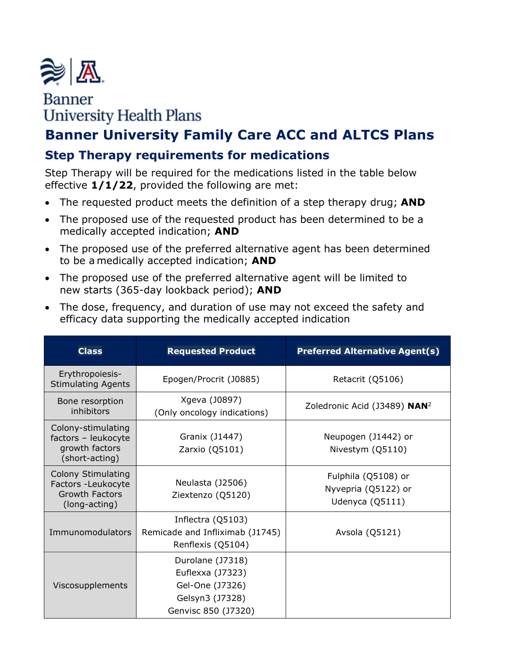

# **Banner University Health Plans**

## **Banner University Family Care ACC and ALTCS Plans**

### **Step Therapy requirements for medications**

Step Therapy will be required for the medications listed in the table below effective **1/1/22**, provided the following are met:

- The requested product meets the definition of a step therapy drug; **AND**
- The proposed use of the requested product has been determined to be a medically accepted indication; **AND**
- The proposed use of the preferred alternative agent has been determined to be a medically accepted indication; **AND**
- The proposed use of the preferred alternative agent will be limited to new starts (365-day lookback period); **AND**
- The dose, frequency, and duration of use may not exceed the safety and efficacy data supporting the medically accepted indication

| <b>Class</b>                                                                       | <b>Requested Product</b>                                                                          | <b>Preferred Alternative Agent(s)</b>                         |
|------------------------------------------------------------------------------------|---------------------------------------------------------------------------------------------------|---------------------------------------------------------------|
| Erythropoiesis-<br><b>Stimulating Agents</b>                                       | Epogen/Procrit (J0885)                                                                            | Retacrit (Q5106)                                              |
| Bone resorption<br>inhibitors                                                      | Xgeva (J0897)<br>(Only oncology indications)                                                      | Zoledronic Acid (J3489) NAN <sup>2</sup>                      |
| Colony-stimulating<br>factors - leukocyte<br>growth factors<br>(short-acting)      | Granix (J1447)<br>Zarxio (Q5101)                                                                  | Neupogen (J1442) or<br>Nivestym (Q5110)                       |
| Colony Stimulating<br>Factors -Leukocyte<br><b>Growth Factors</b><br>(long-acting) | Neulasta (J2506)<br>Ziextenzo (Q5120)                                                             | Fulphila (Q5108) or<br>Nyvepria (Q5122) or<br>Udenyca (Q5111) |
| Immunomodulators                                                                   | Inflectra (Q5103)<br>Remicade and Infliximab (J1745)<br>Renflexis (Q5104)                         | Avsola (Q5121)                                                |
| Viscosupplements                                                                   | Durolane (J7318)<br>Euflexxa (J7323)<br>Gel-One (J7326)<br>Gelsyn3 (J7328)<br>Genvisc 850 (J7320) |                                                               |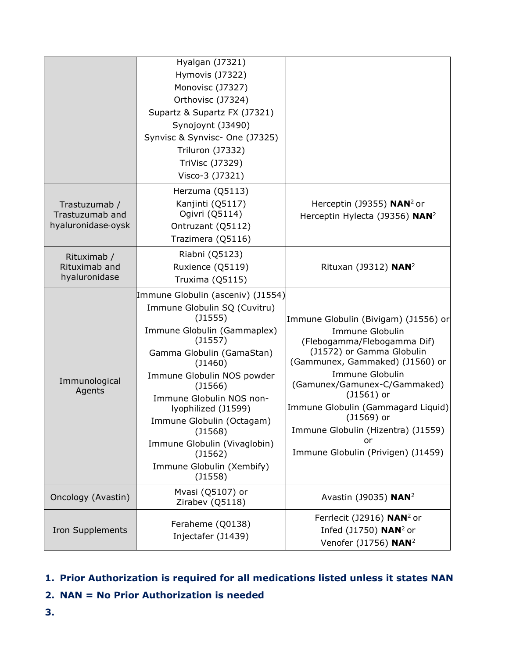|                                                        | Hyalgan (J7321)                         |                                                              |
|--------------------------------------------------------|-----------------------------------------|--------------------------------------------------------------|
|                                                        | Hymovis (J7322)                         |                                                              |
|                                                        | Monovisc (J7327)                        |                                                              |
|                                                        | Orthovisc (J7324)                       |                                                              |
|                                                        | Supartz & Supartz FX (J7321)            |                                                              |
|                                                        | Synojoynt (J3490)                       |                                                              |
|                                                        | Synvisc & Synvisc- One (J7325)          |                                                              |
|                                                        | <b>Triluron (J7332)</b>                 |                                                              |
|                                                        | TriVisc (J7329)                         |                                                              |
|                                                        | Visco-3 (J7321)                         |                                                              |
| Trastuzumab /<br>Trastuzumab and<br>hyaluronidase-oysk | Herzuma (Q5113)                         |                                                              |
|                                                        | Kanjinti (Q5117)                        | Herceptin (J9355) $NAN2$ or                                  |
|                                                        | Ogivri (Q5114)                          | Herceptin Hylecta (J9356) NAN <sup>2</sup>                   |
|                                                        | Ontruzant (Q5112)                       |                                                              |
|                                                        | Trazimera (Q5116)                       |                                                              |
| Rituximab /                                            | Riabni (Q5123)                          |                                                              |
| Rituximab and                                          | Ruxience (Q5119)                        | Rituxan (J9312) NAN <sup>2</sup>                             |
| hyaluronidase                                          | Truxima (Q5115)                         |                                                              |
| Immunological<br>Agents                                | Immune Globulin (asceniv) (J1554)       |                                                              |
|                                                        | Immune Globulin SQ (Cuvitru)            |                                                              |
|                                                        | (J1555)                                 | Immune Globulin (Bivigam) (J1556) or                         |
|                                                        | Immune Globulin (Gammaplex)             | Immune Globulin                                              |
|                                                        | $($ 11557)                              | (Flebogamma/Flebogamma Dif)                                  |
|                                                        | Gamma Globulin (GamaStan)<br>$($ 1460)  | (J1572) or Gamma Globulin<br>(Gammunex, Gammaked) (J1560) or |
|                                                        | Immune Globulin NOS powder              | <b>Immune Globulin</b>                                       |
|                                                        | $($ 1566)                               | (Gamunex/Gamunex-C/Gammaked)                                 |
|                                                        | Immune Globulin NOS non-                | $($ 1561 $)$ or                                              |
|                                                        | lyophilized (J1599)                     | Immune Globulin (Gammagard Liquid)                           |
|                                                        | Immune Globulin (Octagam)               | $(J1569)$ or                                                 |
|                                                        | (J1568)                                 | Immune Globulin (Hizentra) (J1559)<br>or                     |
|                                                        | Immune Globulin (Vivaglobin)<br>(J1562) | Immune Globulin (Privigen) (J1459)                           |
|                                                        | Immune Globulin (Xembify)               |                                                              |
|                                                        | $($ 1558)                               |                                                              |
| Oncology (Avastin)                                     | Mvasi (Q5107) or                        |                                                              |
|                                                        | Zirabev (Q5118)                         | Avastin (J9035) NAN <sup>2</sup>                             |
| <b>Iron Supplements</b>                                | Feraheme (Q0138)<br>Injectafer (J1439)  | Ferrlecit (J2916) NAN <sup>2</sup> or                        |
|                                                        |                                         | Infed $($ 11750) NAN <sup>2</sup> or                         |
|                                                        |                                         | Venofer (J1756) NAN <sup>2</sup>                             |

### **1. Prior Authorization is required for all medications listed unless it states NAN**

- **2. NAN = No Prior Authorization is needed**
- **3.**